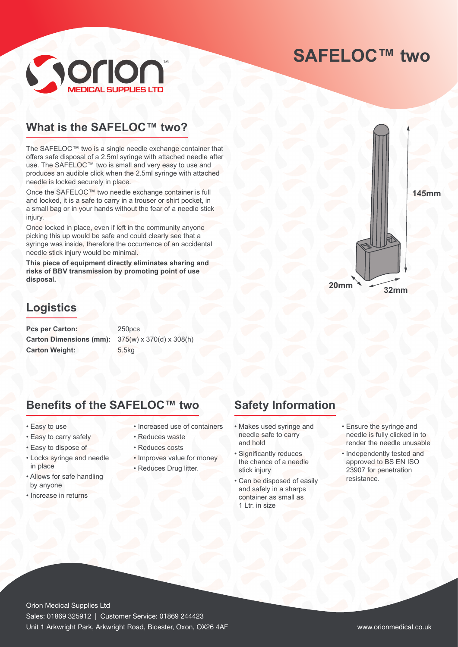## **SAFELOC™ two**



#### **What is the SAFELOC™ two?**

The SAFELOC™ two is a single needle exchange container that offers safe disposal of a 2.5ml syringe with attached needle after use. The SAFELOC™ two is small and very easy to use and produces an audible click when the 2.5ml syringe with attached needle is locked securely in place.

Once the SAFELOC™ two needle exchange container is full and locked, it is a safe to carry in a trouser or shirt pocket, in a small bag or in your hands without the fear of a needle stick injury.

Once locked in place, even if left in the community anyone picking this up would be safe and could clearly see that a syringe was inside, therefore the occurrence of an accidental needle stick injury would be minimal.

**This piece of equipment directly eliminates sharing and risks of BBV transmission by promoting point of use disposal.**

#### **Logistics**

Pcs per Carton: 250pcs **Carton Dimensions (mm):** 375(w) x 370(d) x 308(h) **Carton Weight:** 5.5kg

#### **Benefits of the SAFELOC™ two**

- Easy to use
- Easy to carry safely
- Easy to dispose of
- Locks syringe and needle in place
- Allows for safe handling by anyone
- Increase in returns
- Increased use of containers
- Reduces waste
- Reduces costs
- Improves value for money
- Reduces Drug litter.

# **Safety Information**

- Makes used syringe and needle safe to carry and hold
- Significantly reduces the chance of a needle stick injury
- Can be disposed of easily and safely in a sharps container as small as 1 Ltr. in size
- Ensure the syringe and needle is fully clicked in to render the needle unusable
- Independently tested and approved to BS EN ISO 23907 for penetration resistance.

Orion Medical Supplies Ltd Sales: 01869 325912 | Customer Service: 01869 244423 Unit 1 Arkwright Park, Arkwright Road, Bicester, Oxon, OX26 4AF